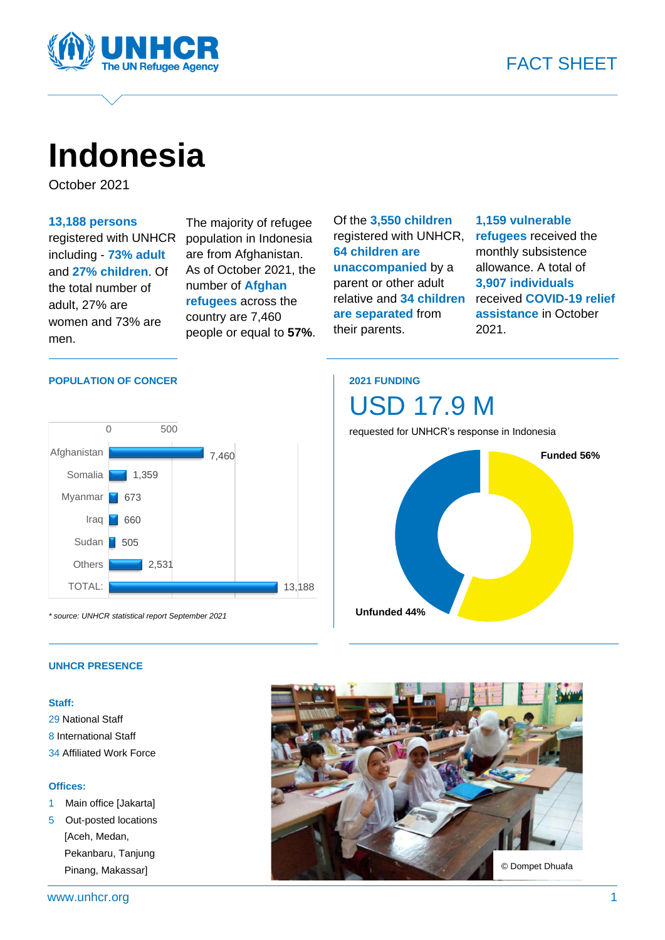

# **Indonesia**

October 2021

#### **13,188 persons**

registered with UNHCR including - **73% adult** and **27% children**. Of the total number of adult, 27% are women and 73% are men.

The majority of refugee population in Indonesia are from Afghanistan. As of October 2021, the number of **Afghan refugees** across the country are 7,460 people or equal to **57%**. Of the **3,550 children** registered with UNHCR, **64 children are unaccompanied** by a parent or other adult relative and **34 children are separated** from their parents.

#### **1,159 vulnerable refugees** received the monthly subsistence allowance. A total of **3,907 individuals** received **COVID-19 relief assistance** in October 2021.

#### **POPULATION OF CONCER**



*\* source: UNHCR statistical report September 2021*

### **2021 FUNDING**



#### **UNHCR PRESENCE**

#### **Staff:**

29 National Staff 8 International Staff 34 Affiliated Work Force

#### **Offices:**

- 1 Main office [Jakarta]
- 5 Out-posted locations [Aceh, Medan, Pekanbaru, Tanjung Pinang, Makassar]

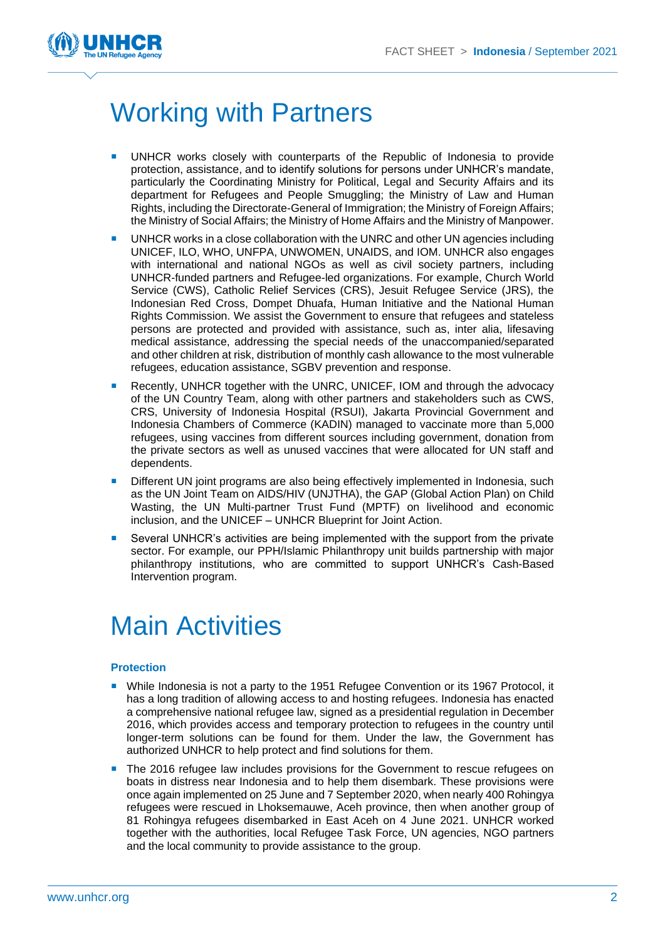

## Working with Partners

- UNHCR works closely with counterparts of the Republic of Indonesia to provide protection, assistance, and to identify solutions for persons under UNHCR's mandate, particularly the Coordinating Ministry for Political, Legal and Security Affairs and its department for Refugees and People Smuggling; the Ministry of Law and Human Rights, including the Directorate-General of Immigration; the Ministry of Foreign Affairs; the Ministry of Social Affairs; the Ministry of Home Affairs and the Ministry of Manpower.
- UNHCR works in a close collaboration with the UNRC and other UN agencies including UNICEF, ILO, WHO, UNFPA, UNWOMEN, UNAIDS, and IOM. UNHCR also engages with international and national NGOs as well as civil society partners, including UNHCR-funded partners and Refugee-led organizations. For example, Church World Service (CWS), Catholic Relief Services (CRS), Jesuit Refugee Service (JRS), the Indonesian Red Cross, Dompet Dhuafa, Human Initiative and the National Human Rights Commission. We assist the Government to ensure that refugees and stateless persons are protected and provided with assistance, such as, inter alia, lifesaving medical assistance, addressing the special needs of the unaccompanied/separated and other children at risk, distribution of monthly cash allowance to the most vulnerable refugees, education assistance, SGBV prevention and response.
- Recently, UNHCR together with the UNRC, UNICEF, IOM and through the advocacy of the UN Country Team, along with other partners and stakeholders such as CWS, CRS, University of Indonesia Hospital (RSUI), Jakarta Provincial Government and Indonesia Chambers of Commerce (KADIN) managed to vaccinate more than 5,000 refugees, using vaccines from different sources including government, donation from the private sectors as well as unused vaccines that were allocated for UN staff and dependents.
- **Different UN** joint programs are also being effectively implemented in Indonesia, such as the UN Joint Team on AIDS/HIV (UNJTHA), the GAP (Global Action Plan) on Child Wasting, the UN Multi-partner Trust Fund (MPTF) on livelihood and economic inclusion, and the UNICEF – UNHCR Blueprint for Joint Action.
- Several UNHCR's activities are being implemented with the support from the private sector. For example, our PPH/Islamic Philanthropy unit builds partnership with major philanthropy institutions, who are committed to support UNHCR's Cash-Based Intervention program.

## Main Activities

#### **Protection**

- While Indonesia is not a party to the 1951 Refugee Convention or its 1967 Protocol, it has a long tradition of allowing access to and hosting refugees. Indonesia has enacted a comprehensive national refugee law, signed as a presidential regulation in December 2016, which provides access and temporary protection to refugees in the country until longer-term solutions can be found for them. Under the law, the Government has authorized UNHCR to help protect and find solutions for them.
- The 2016 refugee law includes provisions for the Government to rescue refugees on boats in distress near Indonesia and to help them disembark. These provisions were once again implemented on 25 June and 7 September 2020, when nearly 400 Rohingya refugees were rescued in Lhoksemauwe, Aceh province, then when another group of 81 Rohingya refugees disembarked in East Aceh on 4 June 2021. UNHCR worked together with the authorities, local Refugee Task Force, UN agencies, NGO partners and the local community to provide assistance to the group.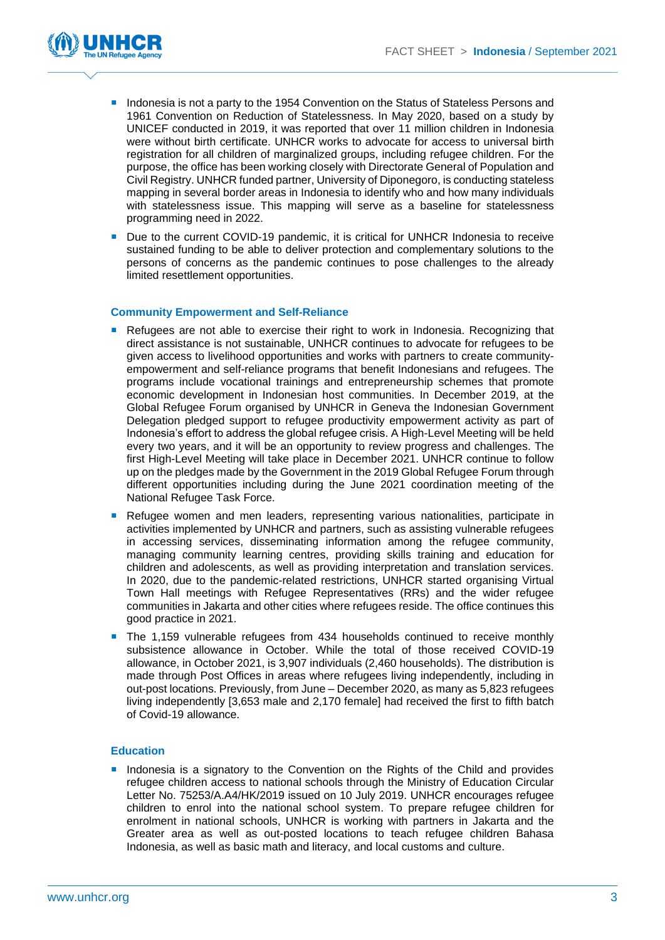

- **Indonesia is not a party to the 1954 Convention on the Status of Stateless Persons and** 1961 Convention on Reduction of Statelessness. In May 2020, based on a study by UNICEF conducted in 2019, it was reported that over 11 million children in Indonesia were without birth certificate. UNHCR works to advocate for access to universal birth registration for all children of marginalized groups, including refugee children. For the purpose, the office has been working closely with Directorate General of Population and Civil Registry. UNHCR funded partner, University of Diponegoro, is conducting stateless mapping in several border areas in Indonesia to identify who and how many individuals with statelessness issue. This mapping will serve as a baseline for statelessness programming need in 2022.
- Due to the current COVID-19 pandemic, it is critical for UNHCR Indonesia to receive sustained funding to be able to deliver protection and complementary solutions to the persons of concerns as the pandemic continues to pose challenges to the already limited resettlement opportunities.

#### **Community Empowerment and Self-Reliance**

- **Refugees are not able to exercise their right to work in Indonesia. Recognizing that** direct assistance is not sustainable, UNHCR continues to advocate for refugees to be given access to livelihood opportunities and works with partners to create communityempowerment and self-reliance programs that benefit Indonesians and refugees. The programs include vocational trainings and entrepreneurship schemes that promote economic development in Indonesian host communities. In December 2019, at the Global Refugee Forum organised by UNHCR in Geneva the Indonesian Government Delegation pledged support to refugee productivity empowerment activity as part of Indonesia's effort to address the global refugee crisis. A High-Level Meeting will be held every two years, and it will be an opportunity to review progress and challenges. The first High-Level Meeting will take place in December 2021. UNHCR continue to follow up on the pledges made by the Government in the 2019 Global Refugee Forum through different opportunities including during the June 2021 coordination meeting of the National Refugee Task Force.
- **Refugee women and men leaders, representing various nationalities, participate in** activities implemented by UNHCR and partners, such as assisting vulnerable refugees in accessing services, disseminating information among the refugee community, managing community learning centres, providing skills training and education for children and adolescents, as well as providing interpretation and translation services. In 2020, due to the pandemic-related restrictions, UNHCR started organising Virtual Town Hall meetings with Refugee Representatives (RRs) and the wider refugee communities in Jakarta and other cities where refugees reside. The office continues this good practice in 2021.
- The 1,159 vulnerable refugees from 434 households continued to receive monthly subsistence allowance in October. While the total of those received COVID-19 allowance, in October 2021, is 3,907 individuals (2,460 households). The distribution is made through Post Offices in areas where refugees living independently, including in out-post locations. Previously, from June – December 2020, as many as 5,823 refugees living independently [3,653 male and 2,170 female] had received the first to fifth batch of Covid-19 allowance.

#### **Education**

**Indonesia is a signatory to the Convention on the Rights of the Child and provides** refugee children access to national schools through the Ministry of Education Circular Letter No. 75253/A.A4/HK/2019 issued on 10 July 2019. UNHCR encourages refugee children to enrol into the national school system. To prepare refugee children for enrolment in national schools, UNHCR is working with partners in Jakarta and the Greater area as well as out-posted locations to teach refugee children Bahasa Indonesia, as well as basic math and literacy, and local customs and culture.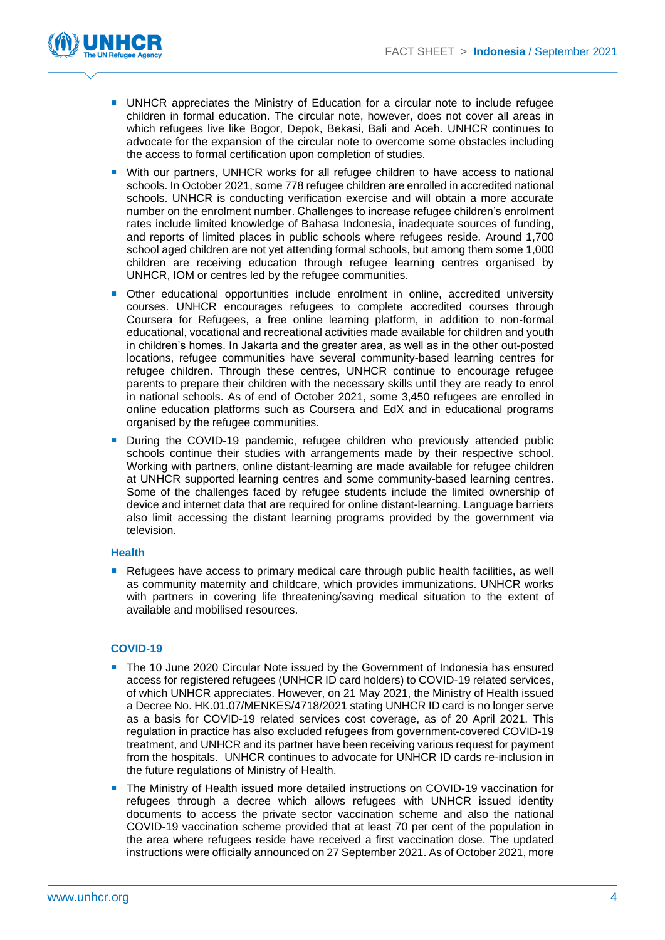

- **UNHCR** appreciates the Ministry of Education for a circular note to include refugee children in formal education. The circular note, however, does not cover all areas in which refugees live like Bogor, Depok, Bekasi, Bali and Aceh. UNHCR continues to advocate for the expansion of the circular note to overcome some obstacles including the access to formal certification upon completion of studies.
- With our partners, UNHCR works for all refugee children to have access to national schools. In October 2021, some 778 refugee children are enrolled in accredited national schools. UNHCR is conducting verification exercise and will obtain a more accurate number on the enrolment number. Challenges to increase refugee children's enrolment rates include limited knowledge of Bahasa Indonesia, inadequate sources of funding, and reports of limited places in public schools where refugees reside. Around 1,700 school aged children are not yet attending formal schools, but among them some 1,000 children are receiving education through refugee learning centres organised by UNHCR, IOM or centres led by the refugee communities.
- Other educational opportunities include enrolment in online, accredited university courses. UNHCR encourages refugees to complete accredited courses through Coursera for Refugees, a free online learning platform, in addition to non-formal educational, vocational and recreational activities made available for children and youth in children's homes. In Jakarta and the greater area, as well as in the other out-posted locations, refugee communities have several community-based learning centres for refugee children. Through these centres, UNHCR continue to encourage refugee parents to prepare their children with the necessary skills until they are ready to enrol in national schools. As of end of October 2021, some 3,450 refugees are enrolled in online education platforms such as Coursera and EdX and in educational programs organised by the refugee communities.
- **During the COVID-19 pandemic, refugee children who previously attended public** schools continue their studies with arrangements made by their respective school. Working with partners, online distant-learning are made available for refugee children at UNHCR supported learning centres and some community-based learning centres. Some of the challenges faced by refugee students include the limited ownership of device and internet data that are required for online distant-learning. Language barriers also limit accessing the distant learning programs provided by the government via television.

#### **Health**

Refugees have access to primary medical care through public health facilities, as well as community maternity and childcare, which provides immunizations. UNHCR works with partners in covering life threatening/saving medical situation to the extent of available and mobilised resources.

#### **COVID-19**

- The 10 June 2020 Circular Note issued by the Government of Indonesia has ensured access for registered refugees (UNHCR ID card holders) to COVID-19 related services, of which UNHCR appreciates. However, on 21 May 2021, the Ministry of Health issued a Decree No. HK.01.07/MENKES/4718/2021 stating UNHCR ID card is no longer serve as a basis for COVID-19 related services cost coverage, as of 20 April 2021. This regulation in practice has also excluded refugees from government-covered COVID-19 treatment, and UNHCR and its partner have been receiving various request for payment from the hospitals. UNHCR continues to advocate for UNHCR ID cards re-inclusion in the future regulations of Ministry of Health.
- The Ministry of Health issued more detailed instructions on COVID-19 vaccination for refugees through a decree which allows refugees with UNHCR issued identity documents to access the private sector vaccination scheme and also the national COVID-19 vaccination scheme provided that at least 70 per cent of the population in the area where refugees reside have received a first vaccination dose. The updated instructions were officially announced on 27 September 2021. As of October 2021, more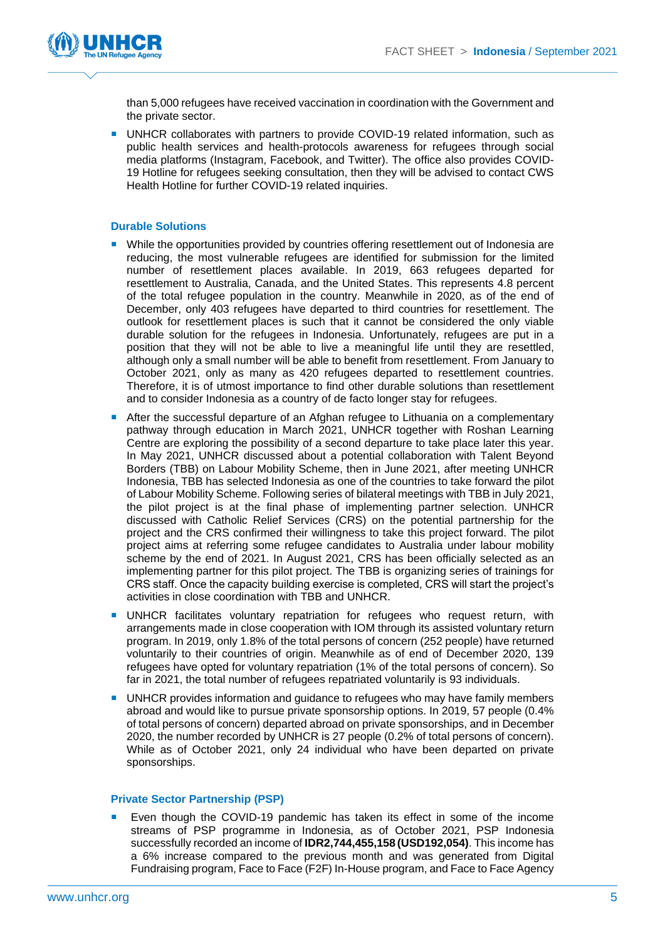

than 5,000 refugees have received vaccination in coordination with the Government and the private sector.

**UNHCR collaborates with partners to provide COVID-19 related information, such as** public health services and health-protocols awareness for refugees through social media platforms (Instagram, Facebook, and Twitter). The office also provides COVID-19 Hotline for refugees seeking consultation, then they will be advised to contact CWS Health Hotline for further COVID-19 related inquiries.

#### **Durable Solutions**

- While the opportunities provided by countries offering resettlement out of Indonesia are reducing, the most vulnerable refugees are identified for submission for the limited number of resettlement places available. In 2019, 663 refugees departed for resettlement to Australia, Canada, and the United States. This represents 4.8 percent of the total refugee population in the country. Meanwhile in 2020, as of the end of December, only 403 refugees have departed to third countries for resettlement. The outlook for resettlement places is such that it cannot be considered the only viable durable solution for the refugees in Indonesia. Unfortunately, refugees are put in a position that they will not be able to live a meaningful life until they are resettled, although only a small number will be able to benefit from resettlement. From January to October 2021, only as many as 420 refugees departed to resettlement countries. Therefore, it is of utmost importance to find other durable solutions than resettlement and to consider Indonesia as a country of de facto longer stay for refugees.
- After the successful departure of an Afghan refugee to Lithuania on a complementary pathway through education in March 2021, UNHCR together with Roshan Learning Centre are exploring the possibility of a second departure to take place later this year. In May 2021, UNHCR discussed about a potential collaboration with Talent Beyond Borders (TBB) on Labour Mobility Scheme, then in June 2021, after meeting UNHCR Indonesia, TBB has selected Indonesia as one of the countries to take forward the pilot of Labour Mobility Scheme. Following series of bilateral meetings with TBB in July 2021, the pilot project is at the final phase of implementing partner selection. UNHCR discussed with Catholic Relief Services (CRS) on the potential partnership for the project and the CRS confirmed their willingness to take this project forward. The pilot project aims at referring some refugee candidates to Australia under labour mobility scheme by the end of 2021. In August 2021, CRS has been officially selected as an implementing partner for this pilot project. The TBB is organizing series of trainings for CRS staff. Once the capacity building exercise is completed, CRS will start the project's activities in close coordination with TBB and UNHCR.
- **UNHCR** facilitates voluntary repatriation for refugees who request return, with arrangements made in close cooperation with IOM through its assisted voluntary return program. In 2019, only 1.8% of the total persons of concern (252 people) have returned voluntarily to their countries of origin. Meanwhile as of end of December 2020, 139 refugees have opted for voluntary repatriation (1% of the total persons of concern). So far in 2021, the total number of refugees repatriated voluntarily is 93 individuals.
- **UNHCR** provides information and guidance to refugees who may have family members abroad and would like to pursue private sponsorship options. In 2019, 57 people (0.4% of total persons of concern) departed abroad on private sponsorships, and in December 2020, the number recorded by UNHCR is 27 people (0.2% of total persons of concern). While as of October 2021, only 24 individual who have been departed on private sponsorships.

#### **Private Sector Partnership (PSP)**

 Even though the COVID-19 pandemic has taken its effect in some of the income streams of PSP programme in Indonesia, as of October 2021, PSP Indonesia successfully recorded an income of **IDR2,744,455,158 (USD192,054)**. This income has a 6% increase compared to the previous month and was generated from Digital Fundraising program, Face to Face (F2F) In-House program, and Face to Face Agency